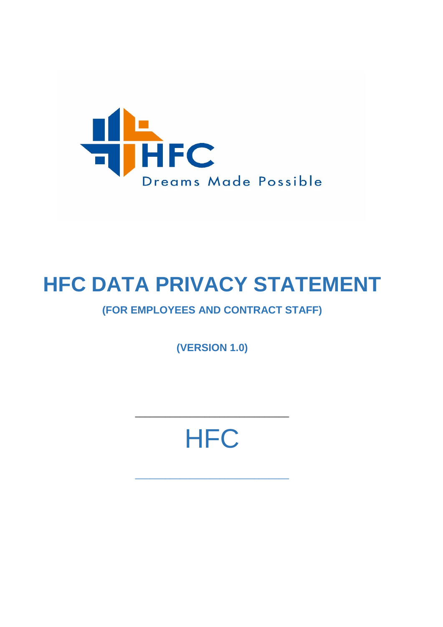

## **HFC DATA PRIVACY STATEMENT**

## **(FOR EMPLOYEES AND CONTRACT STAFF)**

**(VERSION 1.0)**

# **HFC**

\_\_\_\_\_\_\_\_\_\_\_\_\_\_\_\_\_\_\_\_\_\_\_\_\_\_\_\_\_\_\_

\_\_\_\_\_\_\_\_\_\_\_\_\_\_\_\_\_\_\_\_\_\_\_\_\_\_\_\_\_\_\_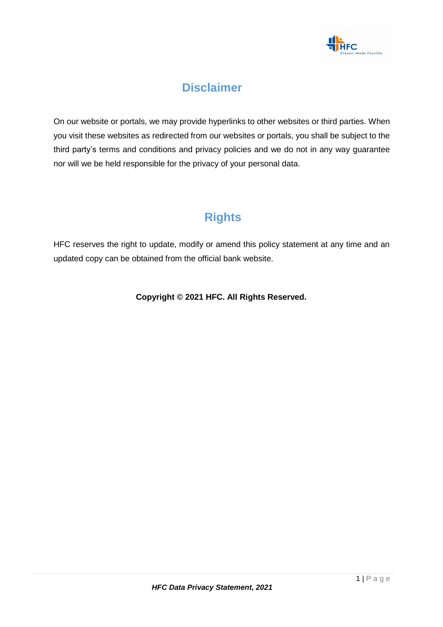

## **Disclaimer**

On our website or portals, we may provide hyperlinks to other websites or third parties. When you visit these websites as redirected from our websites or portals, you shall be subject to the third party's terms and conditions and privacy policies and we do not in any way guarantee nor will we be held responsible for the privacy of your personal data.

## **Rights**

HFC reserves the right to update, modify or amend this policy statement at any time and an updated copy can be obtained from the official bank website.

#### **Copyright © 2021 HFC. All Rights Reserved.**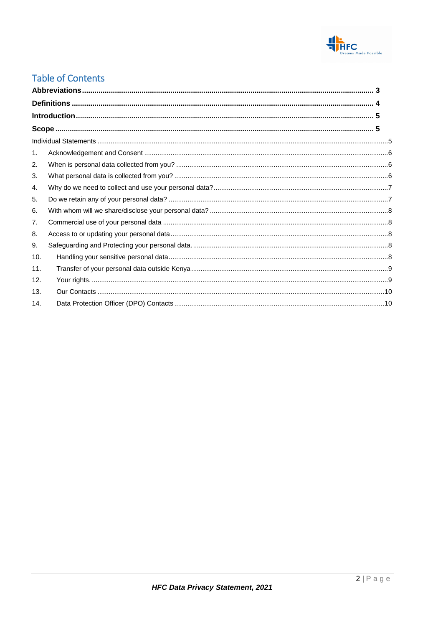

### **Table of Contents**

| 1.  |  |  |  |
|-----|--|--|--|
| 2.  |  |  |  |
| 3.  |  |  |  |
| 4.  |  |  |  |
| 5.  |  |  |  |
| 6.  |  |  |  |
| 7.  |  |  |  |
| 8.  |  |  |  |
| 9.  |  |  |  |
| 10. |  |  |  |
| 11. |  |  |  |
| 12. |  |  |  |
| 13. |  |  |  |
| 14. |  |  |  |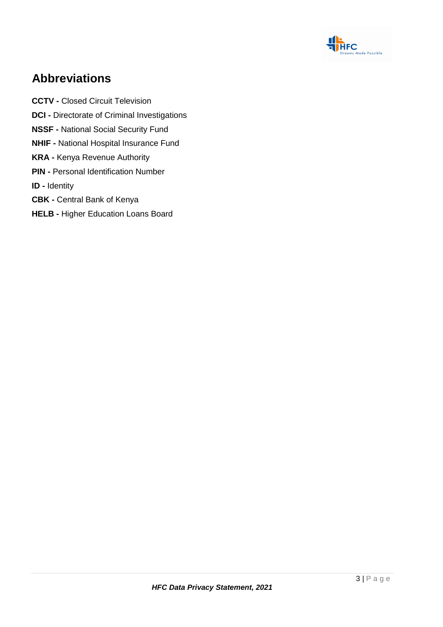

## <span id="page-3-0"></span>**Abbreviations**

**CCTV -** Closed Circuit Television **DCI -** Directorate of Criminal Investigations **NSSF -** National Social Security Fund **NHIF -** National Hospital Insurance Fund **KRA -** Kenya Revenue Authority **PIN -** Personal Identification Number **ID -** Identity **CBK -** Central Bank of Kenya **HELB -** Higher Education Loans Board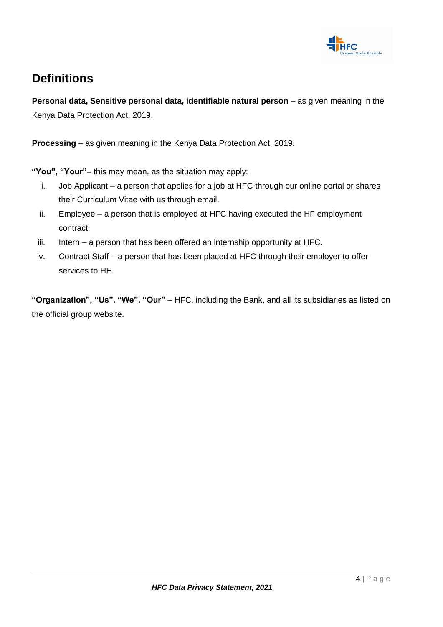

## <span id="page-4-0"></span>**Definitions**

**Personal data, Sensitive personal data, identifiable natural person** – as given meaning in the Kenya Data Protection Act, 2019.

**Processing** – as given meaning in the Kenya Data Protection Act, 2019.

**"You", "Your"**– this may mean, as the situation may apply:

- i. Job Applicant a person that applies for a job at HFC through our online portal or shares their Curriculum Vitae with us through email.
- ii. Employee a person that is employed at HFC having executed the HF employment contract.
- iii. Intern a person that has been offered an internship opportunity at HFC.
- iv. Contract Staff a person that has been placed at HFC through their employer to offer services to HF.

**"Organization", "Us", "We", "Our"** – HFC, including the Bank, and all its subsidiaries as listed on the official group website.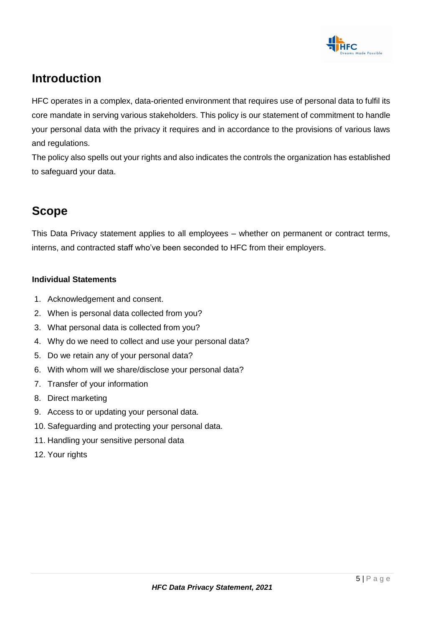

## <span id="page-5-0"></span>**Introduction**

HFC operates in a complex, data-oriented environment that requires use of personal data to fulfil its core mandate in serving various stakeholders. This policy is our statement of commitment to handle your personal data with the privacy it requires and in accordance to the provisions of various laws and regulations.

The policy also spells out your rights and also indicates the controls the organization has established to safeguard your data.

## <span id="page-5-1"></span>**Scope**

This Data Privacy statement applies to all employees – whether on permanent or contract terms, interns, and contracted staff who've been seconded to HFC from their employers.

#### <span id="page-5-2"></span>**Individual Statements**

- 1. Acknowledgement and consent.
- 2. When is personal data collected from you?
- 3. What personal data is collected from you?
- 4. Why do we need to collect and use your personal data?
- 5. Do we retain any of your personal data?
- 6. With whom will we share/disclose your personal data?
- 7. Transfer of your information
- 8. Direct marketing
- 9. Access to or updating your personal data.
- 10. Safeguarding and protecting your personal data.
- 11. Handling your sensitive personal data
- 12. Your rights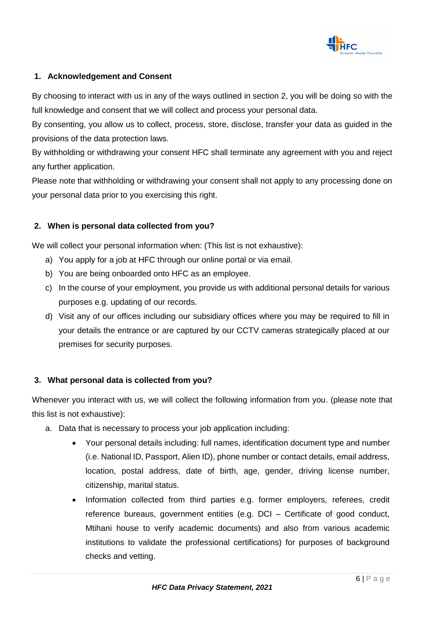

#### <span id="page-6-0"></span>**1. Acknowledgement and Consent**

By choosing to interact with us in any of the ways outlined in section 2, you will be doing so with the full knowledge and consent that we will collect and process your personal data.

By consenting, you allow us to collect, process, store, disclose, transfer your data as guided in the provisions of the data protection laws.

By withholding or withdrawing your consent HFC shall terminate any agreement with you and reject any further application.

Please note that withholding or withdrawing your consent shall not apply to any processing done on your personal data prior to you exercising this right.

#### <span id="page-6-1"></span>**2. When is personal data collected from you?**

We will collect your personal information when: (This list is not exhaustive):

- a) You apply for a job at HFC through our online portal or via email.
- b) You are being onboarded onto HFC as an employee.
- c) In the course of your employment, you provide us with additional personal details for various purposes e.g. updating of our records.
- d) Visit any of our offices including our subsidiary offices where you may be required to fill in your details the entrance or are captured by our CCTV cameras strategically placed at our premises for security purposes.

#### <span id="page-6-2"></span>**3. What personal data is collected from you?**

Whenever you interact with us, we will collect the following information from you. (please note that this list is not exhaustive):

- a. Data that is necessary to process your job application including:
	- Your personal details including: full names, identification document type and number (i.e. National ID, Passport, Alien ID), phone number or contact details, email address, location, postal address, date of birth, age, gender, driving license number, citizenship, marital status.
	- Information collected from third parties e.g. former employers, referees, credit reference bureaus, government entities (e.g. DCI – Certificate of good conduct, Mtihani house to verify academic documents) and also from various academic institutions to validate the professional certifications) for purposes of background checks and vetting.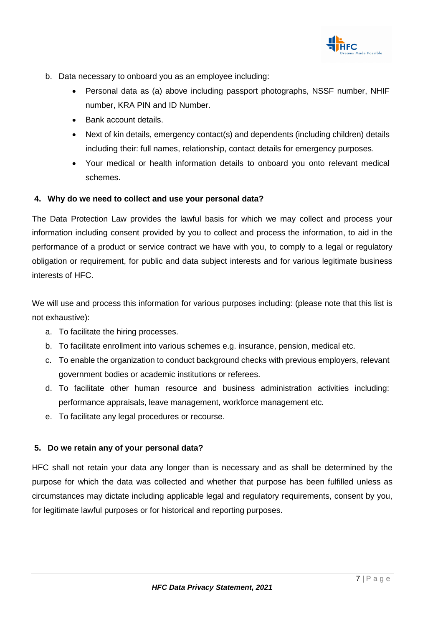

- b. Data necessary to onboard you as an employee including:
	- Personal data as (a) above including passport photographs, NSSF number, NHIF number, KRA PIN and ID Number.
	- Bank account details.
	- Next of kin details, emergency contact(s) and dependents (including children) details including their: full names, relationship, contact details for emergency purposes.
	- Your medical or health information details to onboard you onto relevant medical schemes.

#### <span id="page-7-0"></span>**4. Why do we need to collect and use your personal data?**

The Data Protection Law provides the lawful basis for which we may collect and process your information including consent provided by you to collect and process the information, to aid in the performance of a product or service contract we have with you, to comply to a legal or regulatory obligation or requirement, for public and data subject interests and for various legitimate business interests of HFC.

We will use and process this information for various purposes including: (please note that this list is not exhaustive):

- a. To facilitate the hiring processes.
- b. To facilitate enrollment into various schemes e.g. insurance, pension, medical etc.
- c. To enable the organization to conduct background checks with previous employers, relevant government bodies or academic institutions or referees.
- d. To facilitate other human resource and business administration activities including: performance appraisals, leave management, workforce management etc.
- e. To facilitate any legal procedures or recourse.

#### <span id="page-7-1"></span>**5. Do we retain any of your personal data?**

HFC shall not retain your data any longer than is necessary and as shall be determined by the purpose for which the data was collected and whether that purpose has been fulfilled unless as circumstances may dictate including applicable legal and regulatory requirements, consent by you, for legitimate lawful purposes or for historical and reporting purposes.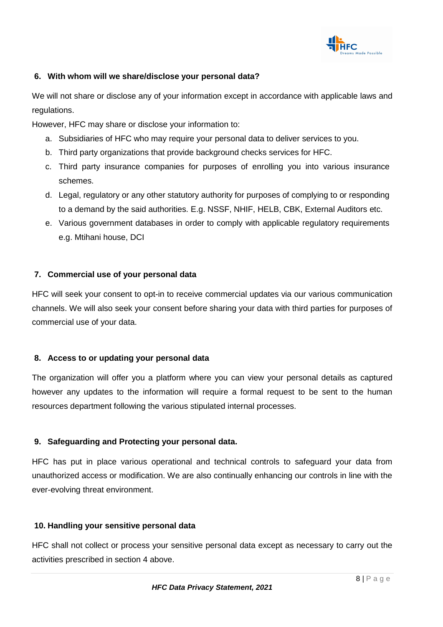

#### <span id="page-8-0"></span>**6. With whom will we share/disclose your personal data?**

We will not share or disclose any of your information except in accordance with applicable laws and regulations.

However, HFC may share or disclose your information to:

- a. Subsidiaries of HFC who may require your personal data to deliver services to you.
- b. Third party organizations that provide background checks services for HFC.
- c. Third party insurance companies for purposes of enrolling you into various insurance schemes.
- d. Legal, regulatory or any other statutory authority for purposes of complying to or responding to a demand by the said authorities. E.g. NSSF, NHIF, HELB, CBK, External Auditors etc.
- e. Various government databases in order to comply with applicable regulatory requirements e.g. Mtihani house, DCI

#### <span id="page-8-1"></span>**7. Commercial use of your personal data**

HFC will seek your consent to opt-in to receive commercial updates via our various communication channels. We will also seek your consent before sharing your data with third parties for purposes of commercial use of your data.

#### <span id="page-8-2"></span>**8. Access to or updating your personal data**

The organization will offer you a platform where you can view your personal details as captured however any updates to the information will require a formal request to be sent to the human resources department following the various stipulated internal processes.

#### <span id="page-8-3"></span>**9. Safeguarding and Protecting your personal data.**

HFC has put in place various operational and technical controls to safeguard your data from unauthorized access or modification. We are also continually enhancing our controls in line with the ever-evolving threat environment.

#### <span id="page-8-4"></span>**10. Handling your sensitive personal data**

HFC shall not collect or process your sensitive personal data except as necessary to carry out the activities prescribed in section 4 above.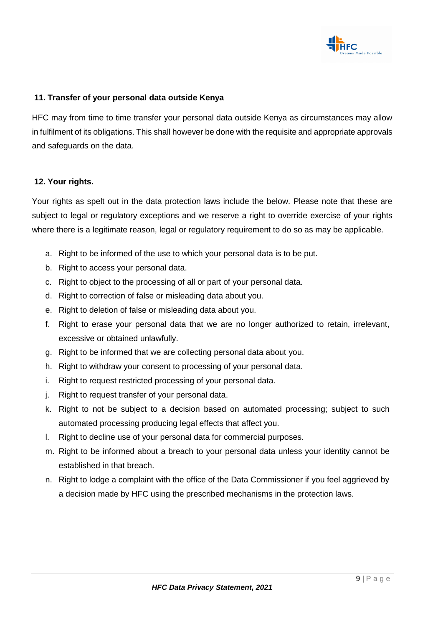

#### <span id="page-9-0"></span>**11. Transfer of your personal data outside Kenya**

HFC may from time to time transfer your personal data outside Kenya as circumstances may allow in fulfilment of its obligations. This shall however be done with the requisite and appropriate approvals and safeguards on the data.

#### <span id="page-9-1"></span>**12. Your rights.**

Your rights as spelt out in the data protection laws include the below. Please note that these are subject to legal or regulatory exceptions and we reserve a right to override exercise of your rights where there is a legitimate reason, legal or regulatory requirement to do so as may be applicable.

- a. Right to be informed of the use to which your personal data is to be put.
- b. Right to access your personal data.
- c. Right to object to the processing of all or part of your personal data.
- d. Right to correction of false or misleading data about you.
- e. Right to deletion of false or misleading data about you.
- f. Right to erase your personal data that we are no longer authorized to retain, irrelevant, excessive or obtained unlawfully.
- g. Right to be informed that we are collecting personal data about you.
- h. Right to withdraw your consent to processing of your personal data.
- i. Right to request restricted processing of your personal data.
- j. Right to request transfer of your personal data.
- k. Right to not be subject to a decision based on automated processing; subject to such automated processing producing legal effects that affect you.
- l. Right to decline use of your personal data for commercial purposes.
- m. Right to be informed about a breach to your personal data unless your identity cannot be established in that breach.
- n. Right to lodge a complaint with the office of the Data Commissioner if you feel aggrieved by a decision made by HFC using the prescribed mechanisms in the protection laws.